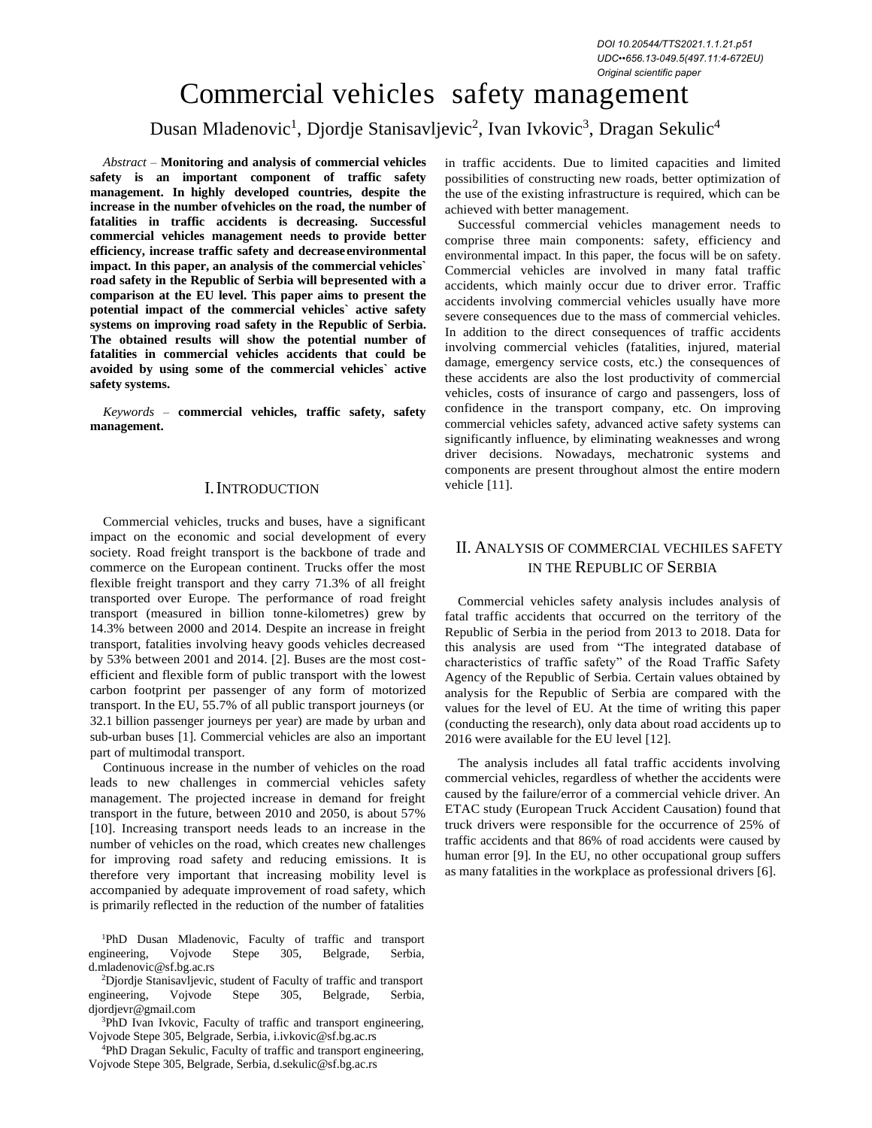# Commercial vehicles safety management

Dusan Mladenovic<sup>1</sup>, Djordje Stanisavljevic<sup>2</sup>, Ivan Ivkovic<sup>3</sup>, Dragan Sekulic<sup>4</sup>

*Abstract –* **Monitoring and analysis of commercial vehicles safety is an important component of traffic safety management. In highly developed countries, despite the increase in the number ofvehicles on the road, the number of fatalities in traffic accidents is decreasing. Successful commercial vehicles management needs to provide better efficiency, increase traffic safety and decreaseenvironmental impact. In this paper, an analysis of the commercial vehicles` road safety in the Republic of Serbia will bepresented with a comparison at the EU level. This paper aims to present the potential impact of the commercial vehicles` active safety systems on improving road safety in the Republic of Serbia. The obtained results will show the potential number of fatalities in commercial vehicles accidents that could be avoided by using some of the commercial vehicles` active safety systems.**

*Keywords –* **commercial vehicles, traffic safety, safety management.**

### I.INTRODUCTION

Commercial vehicles, trucks and buses, have a significant impact on the economic and social development of every society. Road freight transport is the backbone of trade and commerce on the European continent. Trucks offer the most flexible freight transport and they carry 71.3% of all freight transported over Europe. The performance of road freight transport (measured in billion tonne-kilometres) grew by 14.3% between 2000 and 2014. Despite an increase in freight transport, fatalities involving heavy goods vehicles decreased by 53% between 2001 and 2014. [2]. Buses are the most costefficient and flexible form of public transport with the lowest carbon footprint per passenger of any form of motorized transport. In the EU, 55.7% of all public transport journeys (or 32.1 billion passenger journeys per year) are made by urban and sub-urban buses [1]. Commercial vehicles are also an important part of multimodal transport.

Continuous increase in the number of vehicles on the road leads to new challenges in commercial vehicles safety management. The projected increase in demand for freight transport in the future, between 2010 and 2050, is about 57% [10]. Increasing transport needs leads to an increase in the number of vehicles on the road, which creates new challenges for improving road safety and reducing emissions. It is therefore very important that increasing mobility level is accompanied by adequate improvement of road safety, which is primarily reflected in the reduction of the number of fatalities

1 [d.mladenovic@sf.bg.ac.rs](mailto:d.mladenovic@sf.bg.ac.rs) <sup>1</sup>PhD Dusan Mladenovic, Faculty of traffic and transport engineering, Vojvode Stepe 305, Belgrade, Serbia,

3 engineering, Vojvode Stepe 305, Belgrade, Serbia, 4 [djordjevr@gmail.com](mailto:djordjevr@gmail.com) <sup>2</sup>Djordje Stanisavljevic, student of Faculty of traffic and transport

<sup>3</sup>PhD Ivan Ivkovic, Faculty of traffic and transport engineering, Vojvode Stepe 305, Belgrade, Serbia, [i.ivkovic@sf.bg.ac.rs](mailto:i.ivkovic@sf.bg.ac.rs)

<sup>4</sup>PhD Dragan Sekulic, Faculty of traffic and transport engineering, Vojvode Stepe 305, Belgrade, Serbia, [d.sekulic@sf.bg.ac.rs](mailto:d.sekulic@sf.bg.ac.rs)

in traffic accidents. Due to limited capacities and limited possibilities of constructing new roads, better optimization of the use of the existing infrastructure is required, which can be achieved with better management.

Successful commercial vehicles management needs to comprise three main components: safety, efficiency and environmental impact. In this paper, the focus will be on safety. Commercial vehicles are involved in many fatal traffic accidents, which mainly occur due to driver error. Traffic accidents involving commercial vehicles usually have more severe consequences due to the mass of commercial vehicles. In addition to the direct consequences of traffic accidents involving commercial vehicles (fatalities, injured, material damage, emergency service costs, etc.) the consequences of these accidents are also the lost productivity of commercial vehicles, costs of insurance of cargo and passengers, loss of confidence in the transport company, etc. On improving commercial vehicles safety, advanced active safety systems can significantly influence, by eliminating weaknesses and wrong driver decisions. Nowadays, mechatronic systems and components are present throughout almost the entire modern vehicle [11].

## II. ANALYSIS OF COMMERCIAL VECHILES SAFETY IN THE REPUBLIC OF SERBIA

Commercial vehicles safety analysis includes analysis of fatal traffic accidents that occurred on the territory of the Republic of Serbia in the period from 2013 to 2018. Data for this analysis are used from "The integrated database of characteristics of traffic safety" of the Road Traffic Safety Agency of the Republic of Serbia. Certain values obtained by analysis for the Republic of Serbia are compared with the values for the level of EU. At the time of writing this paper (conducting the research), only data about road accidents up to 2016 were available for the EU level [12].

The analysis includes all fatal traffic accidents involving commercial vehicles, regardless of whether the accidents were caused by the failure/error of a commercial vehicle driver. An ETAC study (European Truck Accident Causation) found that truck drivers were responsible for the occurrence of 25% of traffic accidents and that 86% of road accidents were caused by human error [9]. In the EU, no other occupational group suffers as many fatalities in the workplace as professional drivers [6].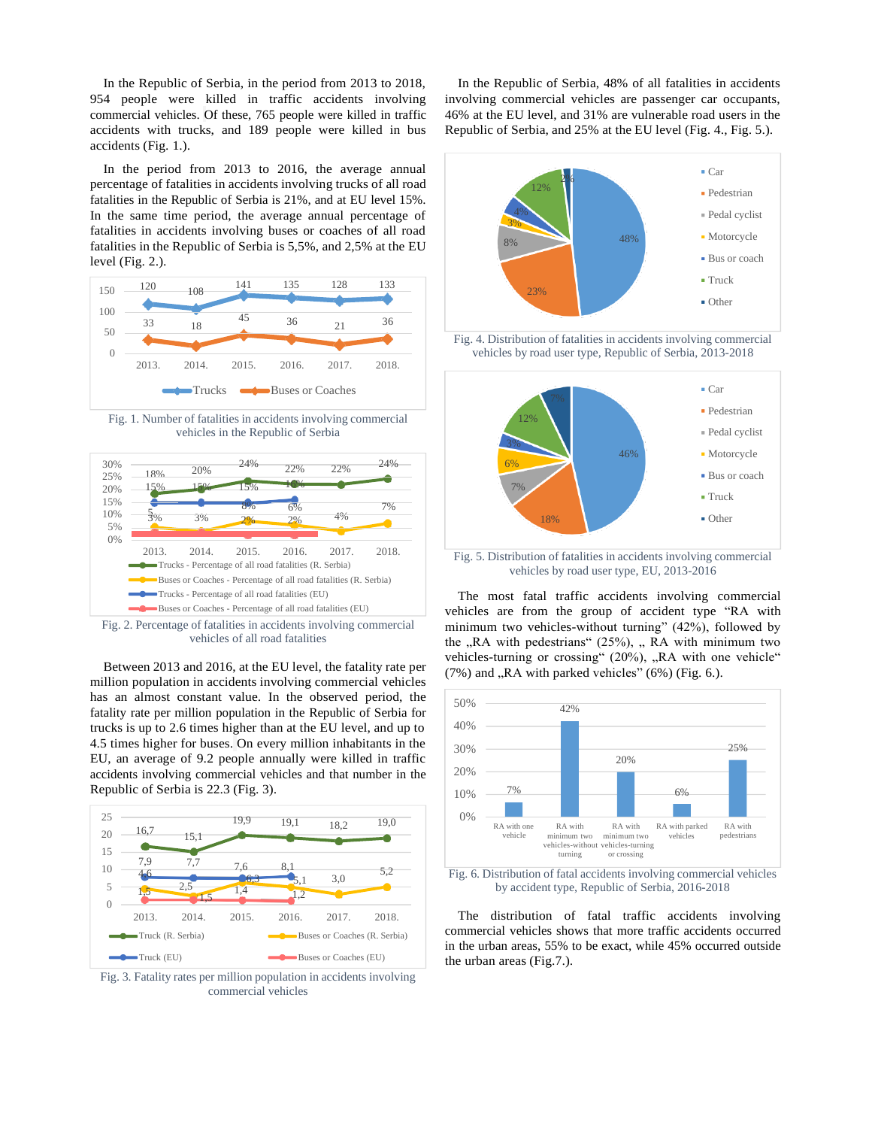In the Republic of Serbia, in the period from 2013 to 2018, 954 people were killed in traffic accidents involving commercial vehicles. Of these, 765 people were killed in traffic accidents with trucks, and 189 people were killed in bus accidents (Fig. 1.).

In the period from 2013 to 2016, the average annual percentage of fatalities in accidents involving trucks of all road fatalities in the Republic of Serbia is 21%, and at EU level 15%. In the same time period, the average annual percentage of fatalities in accidents involving buses or coaches of all road fatalities in the Republic of Serbia is 5,5%, and 2,5% at the EU level (Fig. 2.).



Fig. 1. Number of fatalities in accidents involving commercial vehicles in the Republic of Serbia



Fig. 2. Percentage of fatalities in accidents involving commercial vehicles of all road fatalities

Between 2013 and 2016, at the EU level, the fatality rate per million population in accidents involving commercial vehicles has an almost constant value. In the observed period, the fatality rate per million population in the Republic of Serbia for trucks is up to 2.6 times higher than at the EU level, and up to 4.5 times higher for buses. On every million inhabitants in the EU, an average of 9.2 people annually were killed in traffic accidents involving commercial vehicles and that number in the Republic of Serbia is 22.3 (Fig. 3).



Fig. 3. Fatality rates per million population in accidents involving commercial vehicles

In the Republic of Serbia, 48% of all fatalities in accidents involving commercial vehicles are passenger car occupants, 46% at the EU level, and 31% are vulnerable road users in the Republic of Serbia, and 25% at the EU level (Fig. 4., Fig. 5.).



Fig. 4. Distribution of fatalities in accidents involving commercial vehicles by road user type, Republic of Serbia, 2013-2018



Fig. 5. Distribution of fatalities in accidents involving commercial vehicles by road user type, EU, 2013-2016

The most fatal traffic accidents involving commercial vehicles are from the group of accident type "RA with minimum two vehicles-without turning" (42%), followed by the  $,RA$  with pedestrians" (25%),  $,RA$  with minimum two vehicles-turning or crossing" (20%), "RA with one vehicle"  $(7\%)$  and "RA with parked vehicles"  $(6\%)$  (Fig. 6.).



Fig. 6. Distribution of fatal accidents involving commercial vehicles by accident type, Republic of Serbia, 2016-2018

The distribution of fatal traffic accidents involving commercial vehicles shows that more traffic accidents occurred in the urban areas, 55% to be exact, while 45% occurred outside the urban areas (Fig.7.).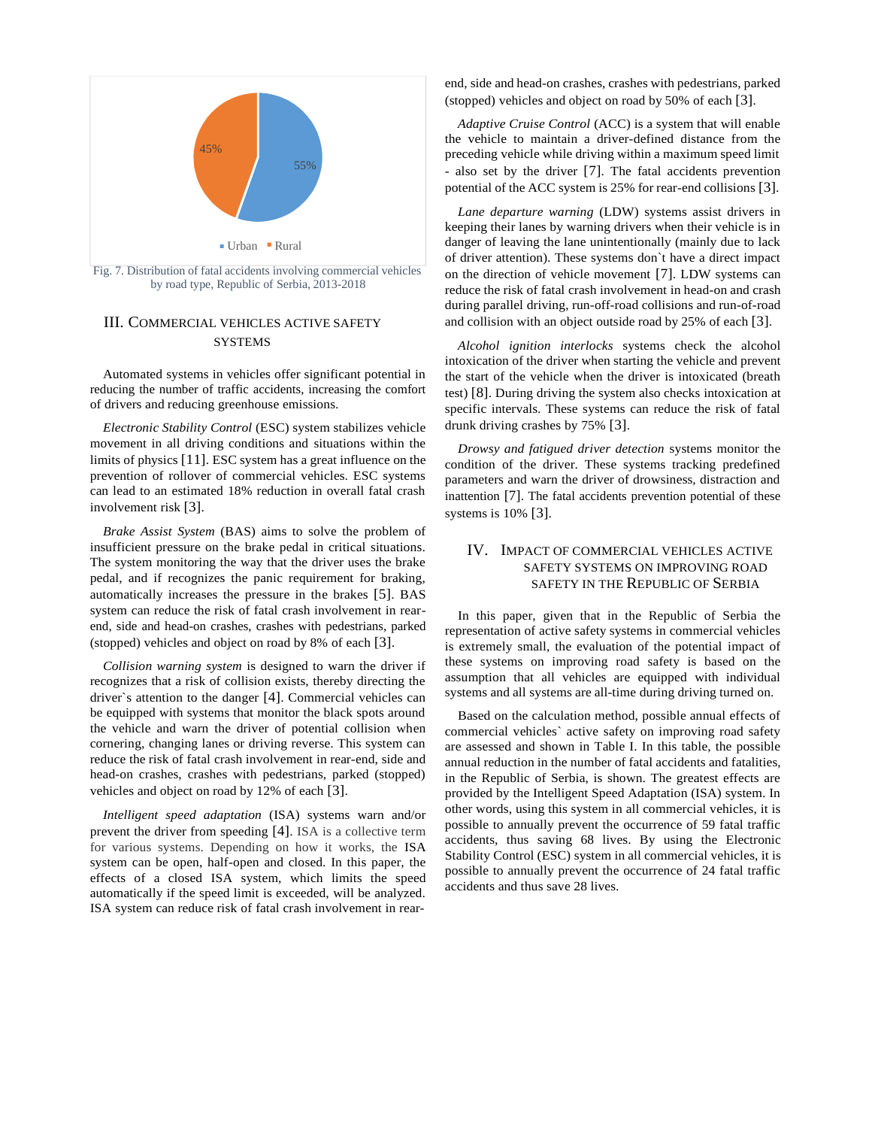

Fig. 7. Distribution of fatal accidents involving commercial vehicles by road type, Republic of Serbia, 2013-2018

### III. COMMERCIAL VEHICLES ACTIVE SAFETY **SYSTEMS**

Automated systems in vehicles offer significant potential in reducing the number of traffic accidents, increasing the comfort of drivers and reducing greenhouse emissions.

*Electronic Stability Control* (ESC) system stabilizes vehicle movement in all driving conditions and situations within the limits of physics [11]. ESC system has a great influence on the prevention of rollover of commercial vehicles. ESC systems can lead to an estimated 18% reduction in overall fatal crash involvement risk [3].

*Brake Assist System* (BAS) aims to solve the problem of insufficient pressure on the brake pedal in critical situations. The system monitoring the way that the driver uses the brake pedal, and if recognizes the panic requirement for braking, automatically increases the pressure in the brakes [5]. BAS system can reduce the risk of fatal crash involvement in rearend, side and head-on crashes, crashes with pedestrians, parked (stopped) vehicles and object on road by 8% of each [3].

*Collision warning system* is designed to warn the driver if recognizes that a risk of collision exists, thereby directing the driver`s attention to the danger [4]. Commercial vehicles can be equipped with systems that monitor the black spots around the vehicle and warn the driver of potential collision when cornering, changing lanes or driving reverse. This system can reduce the risk of fatal crash involvement in rear-end, side and head-on crashes, crashes with pedestrians, parked (stopped) vehicles and object on road by 12% of each [3].

*Intelligent speed adaptation* (ISA) systems warn and/or prevent the driver from speeding [4]. ISA is a collective term for various systems. Depending on how it works, the ISA system can be open, half-open and closed. In this paper, the effects of a closed ISA system, which limits the speed automatically if the speed limit is exceeded, will be analyzed. ISA system can reduce risk of fatal crash involvement in rearend, side and head-on crashes, crashes with pedestrians, parked (stopped) vehicles and object on road by 50% of each [3].

*Adaptive Cruise Control* (ACC) is a system that will enable the vehicle to maintain a driver-defined distance from the preceding vehicle while driving within a maximum speed limit - also set by the driver [7]. The fatal accidents prevention potential of the ACC system is 25% for rear-end collisions [3].

*Lane departure warning* (LDW) systems assist drivers in keeping their lanes by warning drivers when their vehicle is in danger of leaving the lane unintentionally (mainly due to lack of driver attention). These systems don`t have a direct impact on the direction of vehicle movement [7]. LDW systems can reduce the risk of fatal crash involvement in head-on and crash during parallel driving, run-off-road collisions and run-of-road and collision with an object outside road by 25% of each [3].

*Alcohol ignition interlocks* systems check the alcohol intoxication of the driver when starting the vehicle and prevent the start of the vehicle when the driver is intoxicated (breath test) [8]. During driving the system also checks intoxication at specific intervals. These systems can reduce the risk of fatal drunk driving crashes by 75% [3].

*Drowsy and fatigued driver detection* systems monitor the condition of the driver. These systems tracking predefined parameters and warn the driver of drowsiness, distraction and inattention [7]. The fatal accidents prevention potential of these systems is 10% [3].

#### IV. IMPACT OF COMMERCIAL VEHICLES ACTIVE SAFETY SYSTEMS ON IMPROVING ROAD SAFETY IN THE REPUBLIC OF SERBIA

In this paper, given that in the Republic of Serbia the representation of active safety systems in commercial vehicles is extremely small, the evaluation of the potential impact of these systems on improving road safety is based on the assumption that all vehicles are equipped with individual systems and all systems are all-time during driving turned on.

Based on the calculation method, possible annual effects of commercial vehicles` active safety on improving road safety are assessed and shown in Table I. In this table, the possible annual reduction in the number of fatal accidents and fatalities, in the Republic of Serbia, is shown. The greatest effects are provided by the Intelligent Speed Adaptation (ISA) system. In other words, using this system in all commercial vehicles, it is possible to annually prevent the occurrence of 59 fatal traffic accidents, thus saving 68 lives. By using the Electronic Stability Control (ESC) system in all commercial vehicles, it is possible to annually prevent the occurrence of 24 fatal traffic accidents and thus save 28 lives.